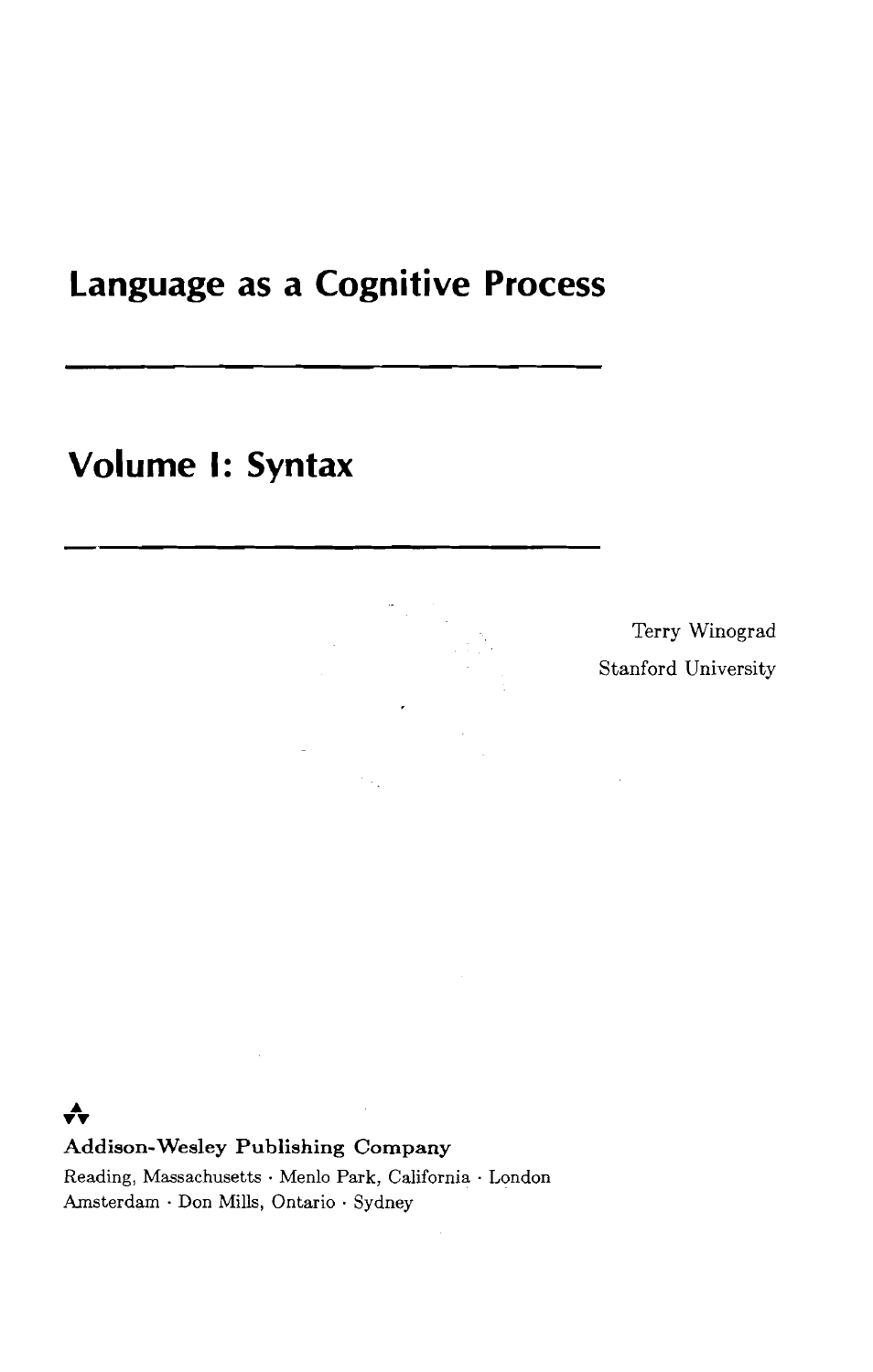# **Language as a Cognitive Process**

# **Volume I: Syntax**

Terry Winograd Stanford University

#### **A vv**

**Addison-Wesley Publishing Company** 

Reading, Massachusetts . Men10 Park, California . London Amsterdam . Don Mills, Ontario . Sydney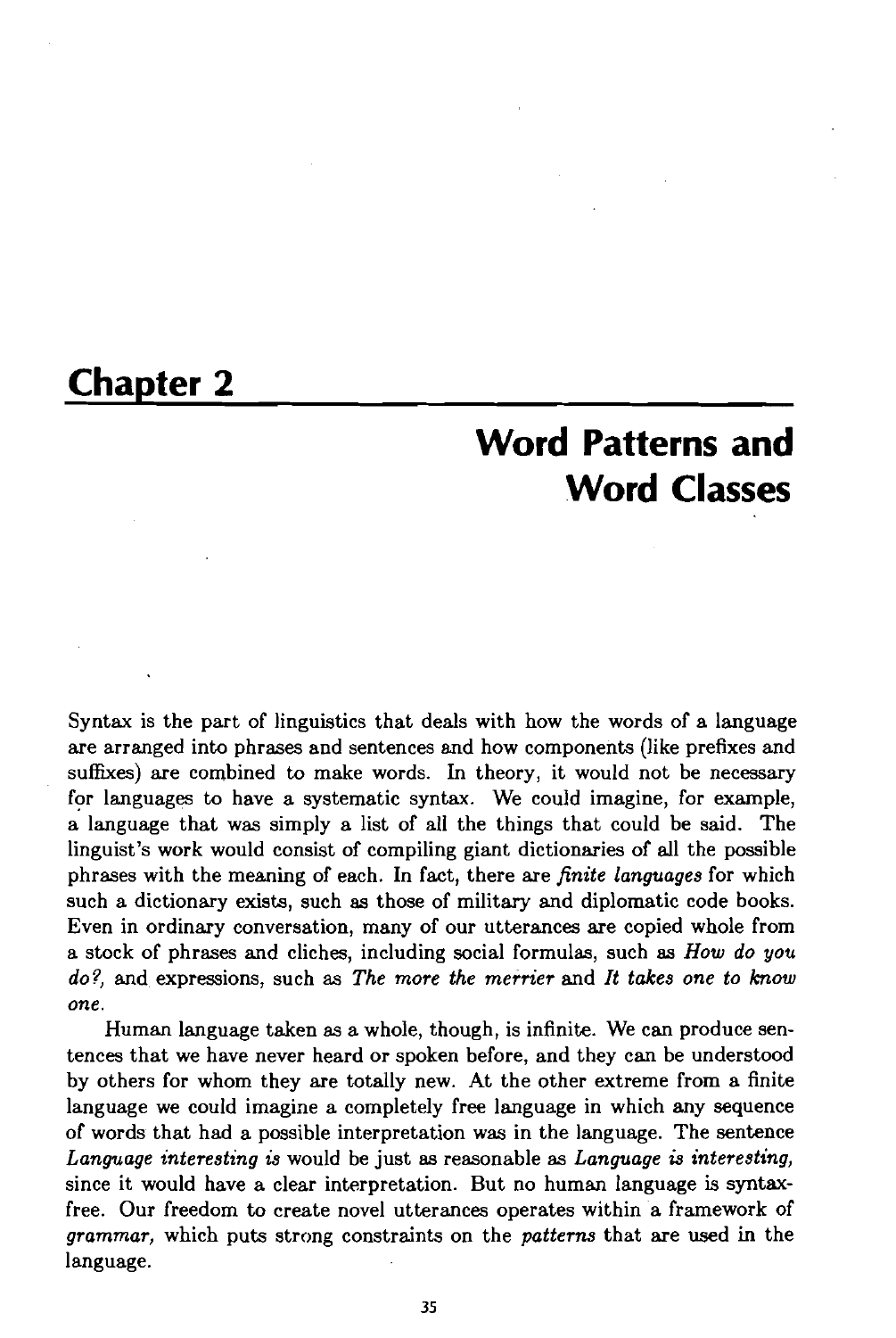## **Chapter 2**

# **Word Patterns and Word Classes**

Syntax is the part of linguistics that deals with how the words of a language are arranged into phrases and sentences and how components (like prefixes and suffixes) are combined to make words. In theory, it would not be necessary for languages to have a systematic syntax. We could imagine, for example, a language that was simply a list of all the things that could be said. The linguist's work would consist of compiling giant dictionaries of all the possible phrases with the meaning of each. In fact, there are *finite languages* for which such a dictionary exists, such **as** those of military and diplomatic code books. Even in ordinary conversation, many of our utterances are copied whole from a stock of phrases and cliches, including social formulas, such *as How do you do?,* and expressions, such as *The more the merrier* and *It takes one to know one.* 

Human language taken as a whole, though, is infinite. We can produce sentences that we have never heard or spoken before, and they can be understood by others for whom they are totally new. At the other extreme from a finite language we could imagine a completely free language in which any sequence of words that had a possible interpretation was in the language. The sentence *Language interesting is* would be just *as* reasonable as *Language* **is** *interesting,*  since it would have a clear interpretation. But no human language is syntaxfree. Our freedom to create novel utterances operates within a framework of *grammar,* which puts strong constraints on the *patterns* that are used in the language.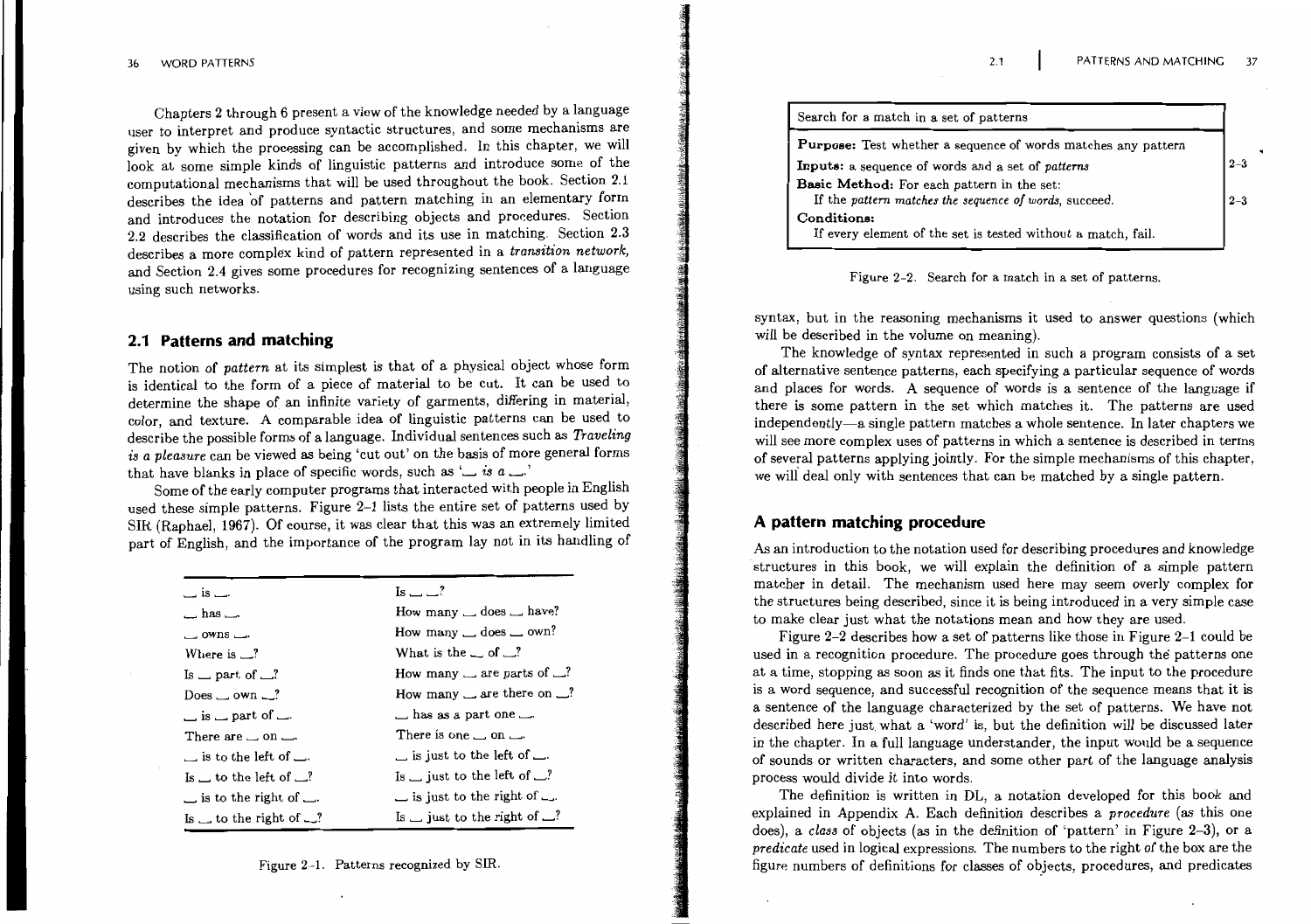Chapters 2 through 6 present a view of the knowledge needed by a language user to interpret and produce syntactic structures, and some mechanisms are given by which the processing can be accomplished. In this chapter, we will look at some simple kinds of linguistic patterns and introduce some of the computational mechanisms that will be used throughout the book. Section 2.1 describes the idea of patterns and pattern matching in an elementary form and introduces the notation for describing objects and procedures. Section 2.2 describes the classification of words and its use in matching. Section 2.3 describes a more complex kind of pattern represented in a transition network, and Section 2.4 gives some procedures for recognizing sentences of a language using such networks.

#### 2.1 Patterns and matching

The notion of pattern at its simplest is that of a physical object whose form is identical to the form of a piece of material to be cut. It can be used to determine the shape of an infinite variety of garments, differing in material, color, and texture. A comparable idea of linguistic patterns can be used to describe the possible forms of a language. Individual sentences such as *Traveling* is a pleasure can be viewed as being 'cut out' on the basis of more general forms that have blanks in place of specific words, such as ' $\Box$  is a  $\Box$ '

Some of the early computer programs that interacted with people in English used these simple patterns. Figure 2-1 lists the entire set of patterns used by SIR (Raphael, 1967). Of course, it was clear that this was an extremely limited part of English, and the importance of the program lay not in its handling of

| $\overline{\phantom{a}}$ is $\overline{\phantom{a}}$ . | Is $ -$ ?                                   |
|--------------------------------------------------------|---------------------------------------------|
| $\Box$ has $\Box$ .                                    | How many $\_\$ does $\_\$ have?             |
| $\sim$ owns $\sim$                                     | How many $\_\$ does $\_\$ own?              |
| Where is $\Box$ ?                                      | What is the $\Box$ of $\Box$ ?              |
| Is $\equiv$ part of $\equiv$ ?                         | How many $\Box$ are parts of $\Box$ ?       |
| Does $\_\text{own}$ own $\_\text{?}$                   | How many $\Box$ are there on $\Box$ ?       |
| $\equiv$ is $\equiv$ part of $\equiv$ .                | $\Box$ has as a part one $\Box$ .           |
| There are $\Box$ on $\Box$ .                           | There is one $\_\$ on $\_\$                 |
| $\Box$ is to the left of $\Box$ .                      | $\equiv$ is just to the left of $\equiv$ .  |
| Is $\Box$ to the left of $\Box$ ?                      | Is $\_\$ just to the left of $\_\$ ?        |
| $\equiv$ is to the right of $\equiv$ .                 | $\equiv$ is just to the right of $\equiv$ . |
| Is $\perp$ to the right of $\perp$ ?                   | Is $\Box$ just to the right of $\Box$ ?     |

Figure 2-1. Patterns recognized by SIR.

| Search for a match in a set of patterns                                                              |       |
|------------------------------------------------------------------------------------------------------|-------|
| <b>Purpose:</b> Test whether a sequence of words matches any pattern                                 |       |
| Inputs: a sequence of words and a set of patterns                                                    | $2 -$ |
| Basic Method: For each pattern in the set:<br>If the pattern matches the sequence of words, succeed. | 2     |
| Conditions:<br>If every element of the set is tested without a match, fail.                          |       |

 $2.1$ 

#### Figure 2-2. Search for a match in a set of patterns.

syntax, but in the reasoning mechanisms it used to answer questions (which will be described in the volume on meaning).

The knowledge of syntax represented in such a program consists of a set of alternative sentence patterns, each specifying a particular sequence of words and places for words. A sequence of words is a sentence of the language if there is some pattern in the set which matches it. The patterns are used independently—a single pattern matches a whole sentence. In later chapters we will see more complex uses of patterns in which a sentence is described in terms of several patterns applying jointly. For the simple mechanisms of this chapter, we will deal only with sentences that can be matched by a single pattern.

#### A pattern matching procedure

As an introduction to the notation used for describing procedures and knowledge structures in this book, we will explain the definition of a simple pattern matcher in detail. The mechanism used here may seem overly complex for the structures being described, since it is being introduced in a very simple case to make clear just what the notations mean and how they are used.

Figure 2-2 describes how a set of patterns like those in Figure 2-1 could be used in a recognition procedure. The procedure goes through the patterns one at a time, stopping as soon as it finds one that fits. The input to the procedure is a word sequence, and successful recognition of the sequence means that it is a sentence of the language characterized by the set of patterns. We have not described here just what a 'word' is, but the definition will be discussed later in the chapter. In a full language understander, the input would be a sequence of sounds or written characters, and some other part of the language analysis process would divide it into words.

The definition is written in DL, a notation developed for this book and explained in Appendix A. Each definition describes a procedure (as this one does), a class of objects (as in the definition of 'pattern' in Figure  $2-3$ ), or a *predicate* used in logical expressions. The numbers to the right of the box are the figure numbers of definitions for classes of objects, procedures, and predicates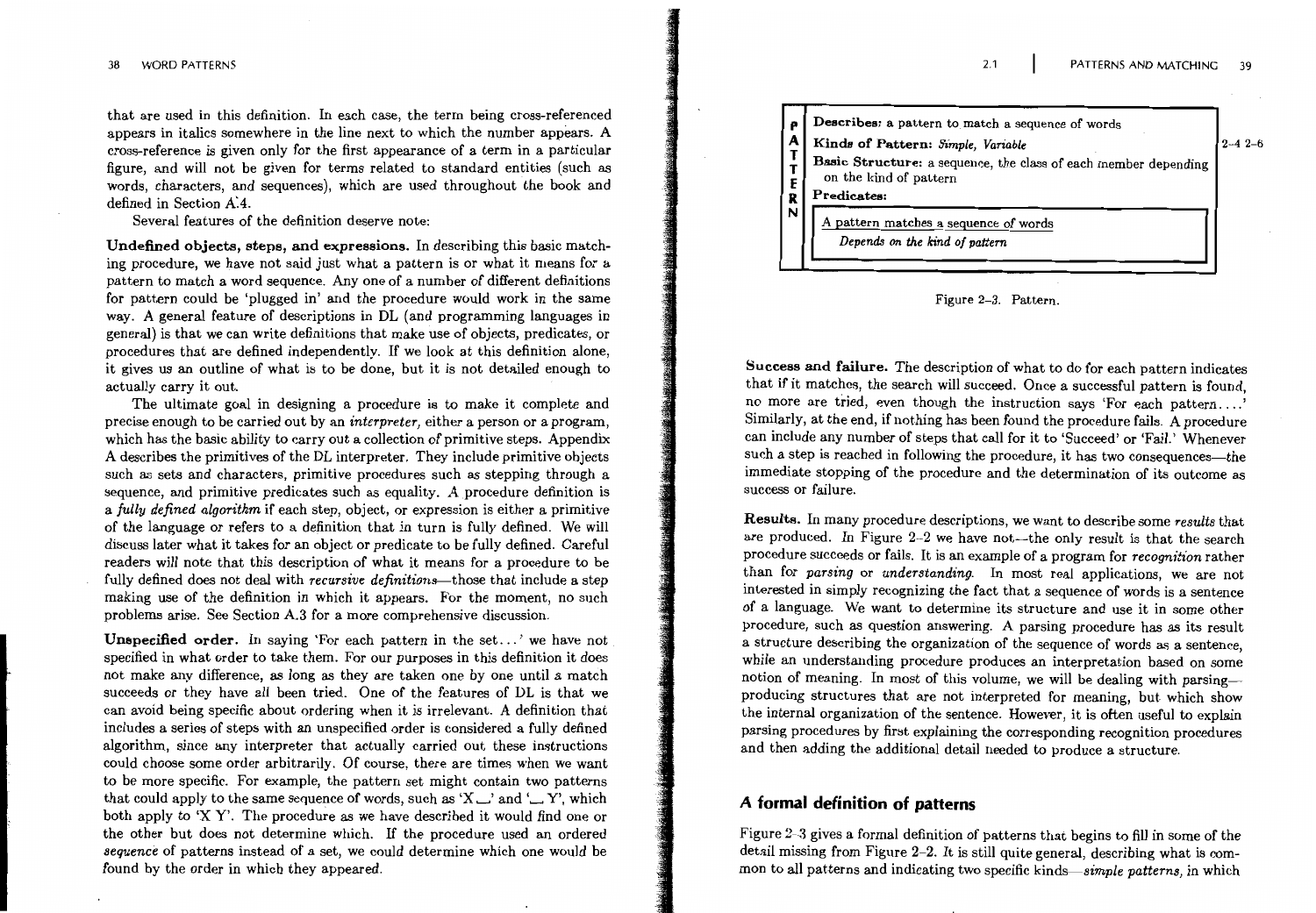that are used in this definition. In each case, the term being cross-referenced appears in italics somewhere in the line next to which the number appears. A cross-reference is given only for the first appearance of a term in a particular figure, and will not be given for terms related to standard entities (such as words, characters, and sequences), which are used throughout the book and defined in Section A.4.

Several features of the definition deserve note:

Undefined objects, steps, and expressions. In describing this basic matching procedure, we have not said just what a pattern is or what it means for a pattern to match a word sequence. Any one of a number of different definitions for pattern could be 'plugged in' and the procedure would work in the same way. A general feature of descriptions in DL (and programming languages in general) is that we can write definitions that make use of objects, predicates, or procedures that are defined independently. If we look at this definition alone, it gives us an outline of what is to be done, but it is not detailed enough to actually carry it out.

The ultimate goal in designing a procedure is to make it complete and precise enough to be carried out by an *interpreter*, either a person or a program, which has the basic ability to carry out a collection of primitive steps. Appendix A describes the primitives of the DL interpreter. They include primitive objects such as sets and characters, primitive procedures such as stepping through a sequence, and primitive predicates such as equality. A procedure definition is a fully defined algorithm if each step, object, or expression is either a primitive of the language or refers to a definition that in turn is fully defined. We will discuss later what it takes for an object or predicate to be fully defined. Careful readers will note that this description of what it means for a procedure to be fully defined does not deal with *recursive definitions*—those that include a step making use of the definition in which it appears. For the moment, no such problems arise. See Section A.3 for a more comprehensive discussion.

Unspecified order. In saying 'For each pattern in the set...' we have not specified in what order to take them. For our purposes in this definition it does not make any difference, as long as they are taken one by one until a match succeeds or they have all been tried. One of the features of DL is that we can avoid being specific about ordering when it is irrelevant. A definition that includes a series of steps with an unspecified order is considered a fully defined algorithm, since any interpreter that actually carried out these instructions could choose some order arbitrarily. Of course, there are times when we want to be more specific. For example, the pattern set might contain two patterns that could apply to the same sequence of words, such as 'X  $\Box$ ' and ' $\Box$  Y', which both apply to 'X Y'. The procedure as we have described it would find one or the other but does not determine which. If the procedure used an ordered sequence of patterns instead of a set, we could determine which one would be found by the order in which they appeared.



 $2.1$ 

Figure 2-3. Pattern.

Success and failure. The description of what to do for each pattern indicates that if it matches, the search will succeed. Once a successful pattern is found, no more are tried, even though the instruction says 'For each pattern...' Similarly, at the end, if nothing has been found the procedure fails. A procedure can include any number of steps that call for it to 'Succeed' or 'Fail.' Whenever such a step is reached in following the procedure, it has two consequences-the immediate stopping of the procedure and the determination of its outcome as success or failure.

Results. In many procedure descriptions, we want to describe some results that are produced. In Figure 2-2 we have not—the only result is that the search procedure succeeds or fails. It is an example of a program for *recognition* rather than for parsing or understanding. In most real applications, we are not interested in simply recognizing the fact that a sequence of words is a sentence of a language. We want to determine its structure and use it in some other procedure, such as question answering. A parsing procedure has as its result a structure describing the organization of the sequence of words as a sentence, while an understanding procedure produces an interpretation based on some notion of meaning. In most of this volume, we will be dealing with parsingproducing structures that are not interpreted for meaning, but which show the internal organization of the sentence. However, it is often useful to explain parsing procedures by first explaining the corresponding recognition procedures and then adding the additional detail needed to produce a structure.

## A formal definition of patterns

Figure 2-3 gives a formal definition of patterns that begins to fill in some of the detail missing from Figure 2-2. It is still quite general, describing what is common to all patterns and indicating two specific kinds—simple patterns, in which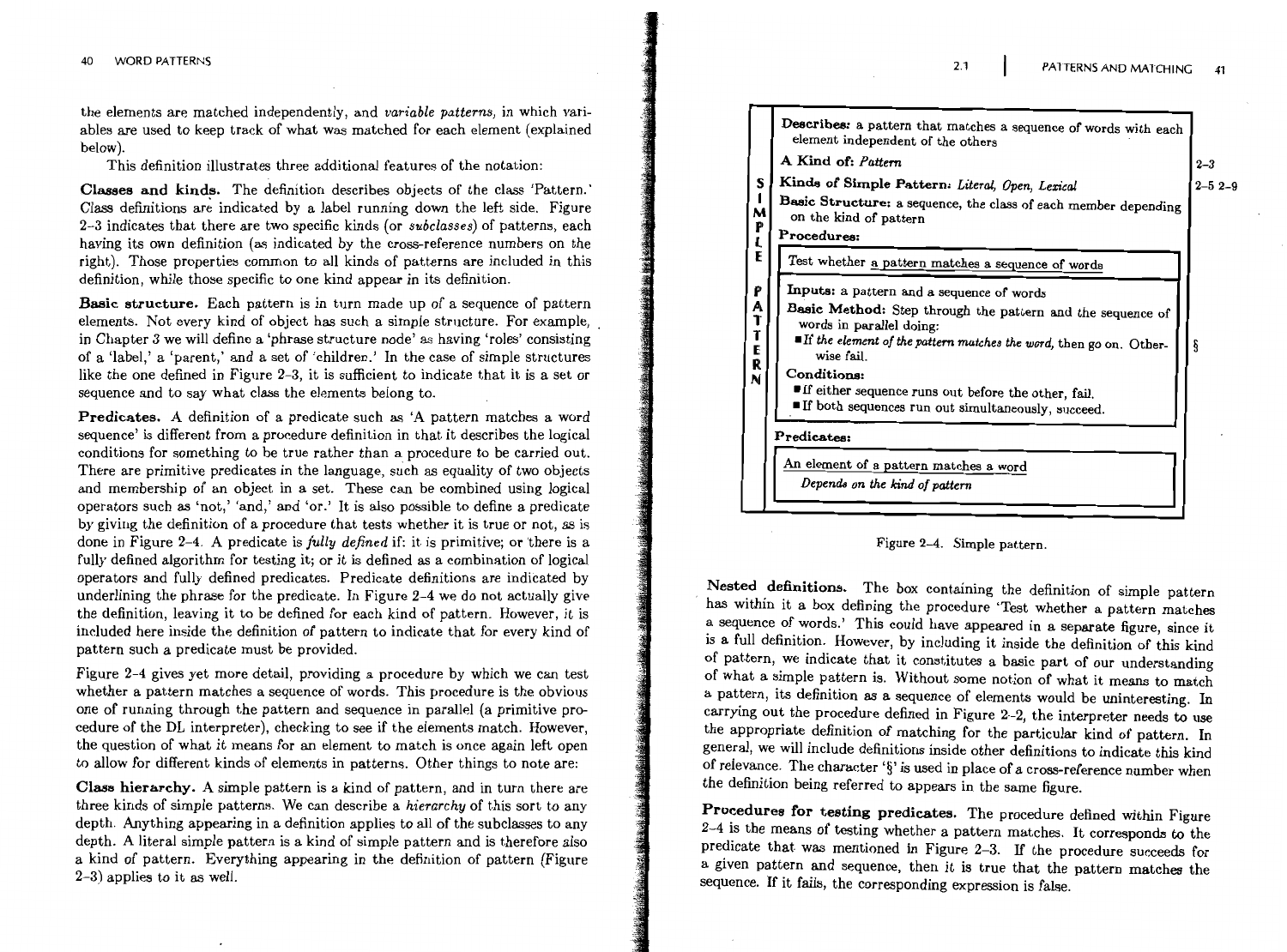the elements are matched independently, and variable patterns, in which variables are used to keep track of what was matched for each element (explained below).

This definition illustrates three additional features of the notation:

Classes and kinds. The definition describes objects of the class 'Pattern.' Class definitions are indicated by a label running down the left side. Figure 2-3 indicates that there are two specific kinds (or *subclasses*) of patterns, each having its own definition (as indicated by the cross-reference numbers on the right). Those properties common to all kinds of patterns are included in this definition, while those specific to one kind appear in its definition.

**Basic structure.** Each pattern is in turn made up of a sequence of pattern elements. Not every kind of object has such a simple structure. For example, in Chapter 3 we will define a 'phrase structure node' as having 'roles' consisting of a 'label,' a 'parent,' and a set of 'children.' In the case of simple structures like the one defined in Figure 2-3, it is sufficient to indicate that it is a set or sequence and to say what class the elements belong to.

**Predicates.** A definition of a predicate such as 'A pattern matches a word sequence' is different from a procedure definition in that it describes the logical conditions for something to be true rather than a procedure to be carried out. There are primitive predicates in the language, such as equality of two objects and membership of an object in a set. These can be combined using logical operators such as 'not,' 'and,' and 'or.' It is also possible to define a predicate by giving the definition of a procedure that tests whether it is true or not, as is done in Figure 2-4. A predicate is fully defined if: it is primitive; or there is a fully defined algorithm for testing it; or it is defined as a combination of logical operators and fully defined predicates. Predicate definitions are indicated by underlining the phrase for the predicate. In Figure 2-4 we do not actually give the definition, leaving it to be defined for each kind of pattern. However, it is included here inside the definition of pattern to indicate that for every kind of pattern such a predicate must be provided.

Figure 2-4 gives yet more detail, providing a procedure by which we can test whether a pattern matches a sequence of words. This procedure is the obvious one of running through the pattern and sequence in parallel (a primitive procedure of the DL interpreter), checking to see if the elements match. However, the question of what it means for an element to match is once again left open to allow for different kinds of elements in patterns. Other things to note are:

Class hierarchy. A simple pattern is a kind of pattern, and in turn there are three kinds of simple patterns. We can describe a hierarchy of this sort to any depth. Anything appearing in a definition applies to all of the subclasses to any depth. A literal simple pattern is a kind of simple pattern and is therefore also a kind of pattern. Everything appearing in the definition of pattern (Figure  $2-3$ ) applies to it as well.

|                         | Describes: a pattern that matches a sequence of words with each<br>element independent of the others                                                                                                                                                                                                                                                       |              |
|-------------------------|------------------------------------------------------------------------------------------------------------------------------------------------------------------------------------------------------------------------------------------------------------------------------------------------------------------------------------------------------------|--------------|
|                         | A Kind of: Pattern                                                                                                                                                                                                                                                                                                                                         | $2 - 3$      |
| S<br>M<br>P<br>L        | Kinds of Simple Pattern: Literal, Open, Lexical<br>Basic Structure: a sequence, the class of each member depending<br>on the kind of pattern<br>Procedures:                                                                                                                                                                                                | $2 - 52 - 9$ |
| E                       | Test whether a pattern matches a sequence of words                                                                                                                                                                                                                                                                                                         |              |
| P<br>Α<br>エエミ<br>R<br>N | Inputs: a pattern and a sequence of words<br>Basic Method: Step through the pattern and the sequence of<br>words in parallel doing:<br><b>If</b> the element of the pattern matches the word, then go on. Other-<br>wise fail.<br>Conditions:<br>If either sequence runs out before the other, fail.<br>If both sequences run out simultaneously, succeed. |              |
|                         | Predicates:                                                                                                                                                                                                                                                                                                                                                |              |
|                         | An element of a pattern matches a word<br>Depends on the kind of pattern                                                                                                                                                                                                                                                                                   |              |
|                         |                                                                                                                                                                                                                                                                                                                                                            |              |

 $2.1$ 

#### Figure 2-4. Simple pattern.

Nested definitions. The box containing the definition of simple pattern has within it a box defining the procedure 'Test whether a pattern matches a sequence of words.' This could have appeared in a separate figure, since it is a full definition. However, by including it inside the definition of this kind of pattern, we indicate that it constitutes a basic part of our understanding of what a simple pattern is. Without some notion of what it means to match a pattern, its definition as a sequence of elements would be uninteresting. In carrying out the procedure defined in Figure 2-2, the interpreter needs to use the appropriate definition of matching for the particular kind of pattern. In general, we will include definitions inside other definitions to indicate this kind of relevance. The character '§' is used in place of a cross-reference number when the definition being referred to appears in the same figure.

Procedures for testing predicates. The procedure defined within Figure 2-4 is the means of testing whether a pattern matches. It corresponds to the predicate that was mentioned in Figure 2-3. If the procedure succeeds for a given pattern and sequence, then it is true that the pattern matches the sequence. If it fails, the corresponding expression is false.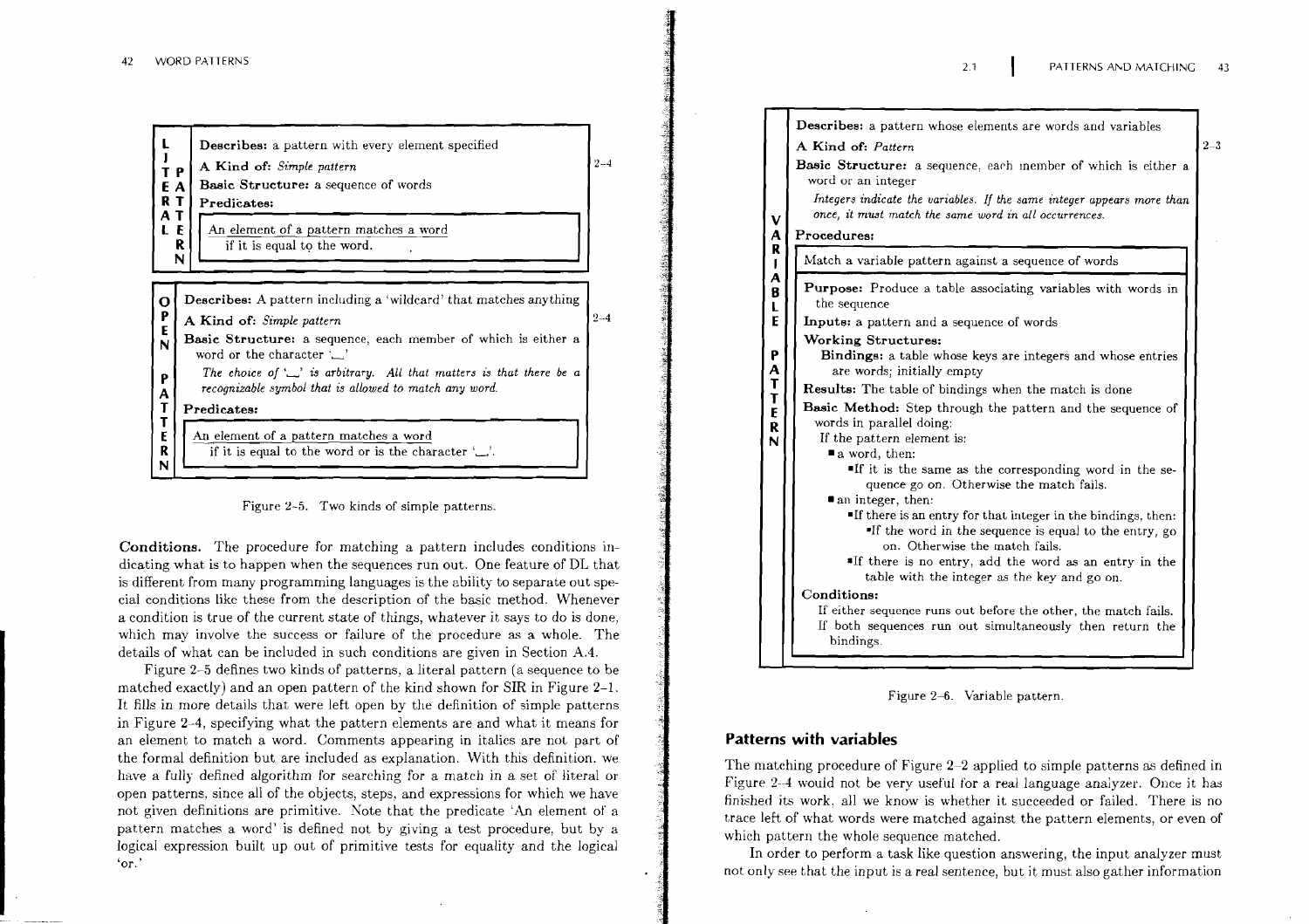| <b>Describes:</b> a pattern with every element specified<br>A Kind of: Simple pattern<br>TР<br><b>Basic Structure:</b> a sequence of words<br>E A<br>RT<br>Predicates:<br>AΤ<br>An element of a pattern matches a word<br>LΕ<br>R<br>if it is equal to the word.<br>N |                                                                                                                                                                                                                                                                                                                                                   |         |  |
|-----------------------------------------------------------------------------------------------------------------------------------------------------------------------------------------------------------------------------------------------------------------------|---------------------------------------------------------------------------------------------------------------------------------------------------------------------------------------------------------------------------------------------------------------------------------------------------------------------------------------------------|---------|--|
| O<br>Ρ<br>E<br>N<br>Р<br>$\frac{\mathsf{A}}{\mathsf{I}}$                                                                                                                                                                                                              | <b>Describes:</b> A pattern including a 'wildcard' that matches anything<br>A Kind of: Simple pattern<br><b>Basic Structure:</b> a sequence, each member of which is either a<br>word or the character $\sum$<br>The choice of $\sum$ is arbitrary. All that matters is that there be a<br>recognizable symbol that is allowed to match any word. | $2 - 4$ |  |
| T<br>E<br>R<br>N                                                                                                                                                                                                                                                      | Predicates:<br>An element of a pattern matches a word<br>if it is equal to the word or is the character $\sum$ .                                                                                                                                                                                                                                  |         |  |



**Conditions.** The procedure for matching a pattern includes conditions indicating what is to happen when the sequences run out. One feature of DL that is different from many programming languages is the ability to separate out special conditions like these from the description of the basic method. Whenever a condition is true of the current state of things, whatever it says to do is done, which may involve the success or failure of the procedure as a whole. The details of what can be included in such conditions are given in Section **A.4.** 

Figure 2-5 defines two kinds of patterns, a literal pattern (a sequence to be matched exactly) and an open pattern of the kind shown for SIR in Figure **2-1.**  It fills in more details that were left open by the definition of simple patterns in Figure **2-4,** specifying what the pattern elements are and what it means for an element to match a word. Comments appearing in italics are not part of the formal definition but are included as explanation. With this definition, we have a fully defined algorithm for searching for a match in a set of literal or open patterns, since all of the objects, steps, and expressions for which we have not given definitions are primitive. Note that the predicate 'An element of' a pattern matches a word' is defined not by giving a test procedure, but by a logical expression built up out of primitive tests for equality and the logical  $\cdot$ or.'

| V<br>A                                           | Describes: a pattern whose elements are words and variables<br>A Kind of: Pattern<br>Basic Structure: a sequence, each member of which is either a<br>word or an integer<br>Integers indicate the variables. If the same integer appears more than<br>once, it must match the same word in all occurrences.<br>Procedures:                                                                                                                                                                                                                                                                                                                                                                                                                                                                                                                                                                | $2 - 3$ |
|--------------------------------------------------|-------------------------------------------------------------------------------------------------------------------------------------------------------------------------------------------------------------------------------------------------------------------------------------------------------------------------------------------------------------------------------------------------------------------------------------------------------------------------------------------------------------------------------------------------------------------------------------------------------------------------------------------------------------------------------------------------------------------------------------------------------------------------------------------------------------------------------------------------------------------------------------------|---------|
| R                                                | Match a variable pattern against a sequence of words                                                                                                                                                                                                                                                                                                                                                                                                                                                                                                                                                                                                                                                                                                                                                                                                                                      |         |
| A<br>B<br>L<br>E<br>P<br>A T<br>T<br>E<br>R<br>N | <b>Purpose:</b> Produce a table associating variables with words in<br>the sequence<br><b>Inputs:</b> a pattern and a sequence of words<br>Working Structures:<br><b>Bindings:</b> a table whose keys are integers and whose entries<br>are words; initially empty<br><b>Results:</b> The table of bindings when the match is done<br>Basic Method: Step through the pattern and the sequence of<br>words in parallel doing:<br>If the pattern element is:<br>a word, then:<br>If it is the same as the corresponding word in the se-<br>quence go on. Otherwise the match fails.<br>an integer, then:<br>If there is an entry for that integer in the bindings, then:<br>If the word in the sequence is equal to the entry, go<br>on. Otherwise the match fails.<br>If there is no entry, add the word as an entry in the<br>table with the integer as the key and go on.<br>Conditions: |         |
|                                                  | If either sequence runs out before the other, the match fails.<br>If both sequences run out simultaneously then return the<br>bindings.                                                                                                                                                                                                                                                                                                                                                                                                                                                                                                                                                                                                                                                                                                                                                   |         |

Figure 2-6. Variable pattern

#### **Patterns with variables**

The matching procedure of Figure  $2-2$  applied to simple patterns as defined in Figure 2-4 would not be very useful for a real language analyzer. Once it has finished its work, all we know is whether it succeeded or failed. There is no trace left of what words were matched against the pattern elements, or even of which pattern the whole sequence matched.

In order to perform a task like question answering, the input analyzer must not only see that the input is a real sentence, but it must also gather information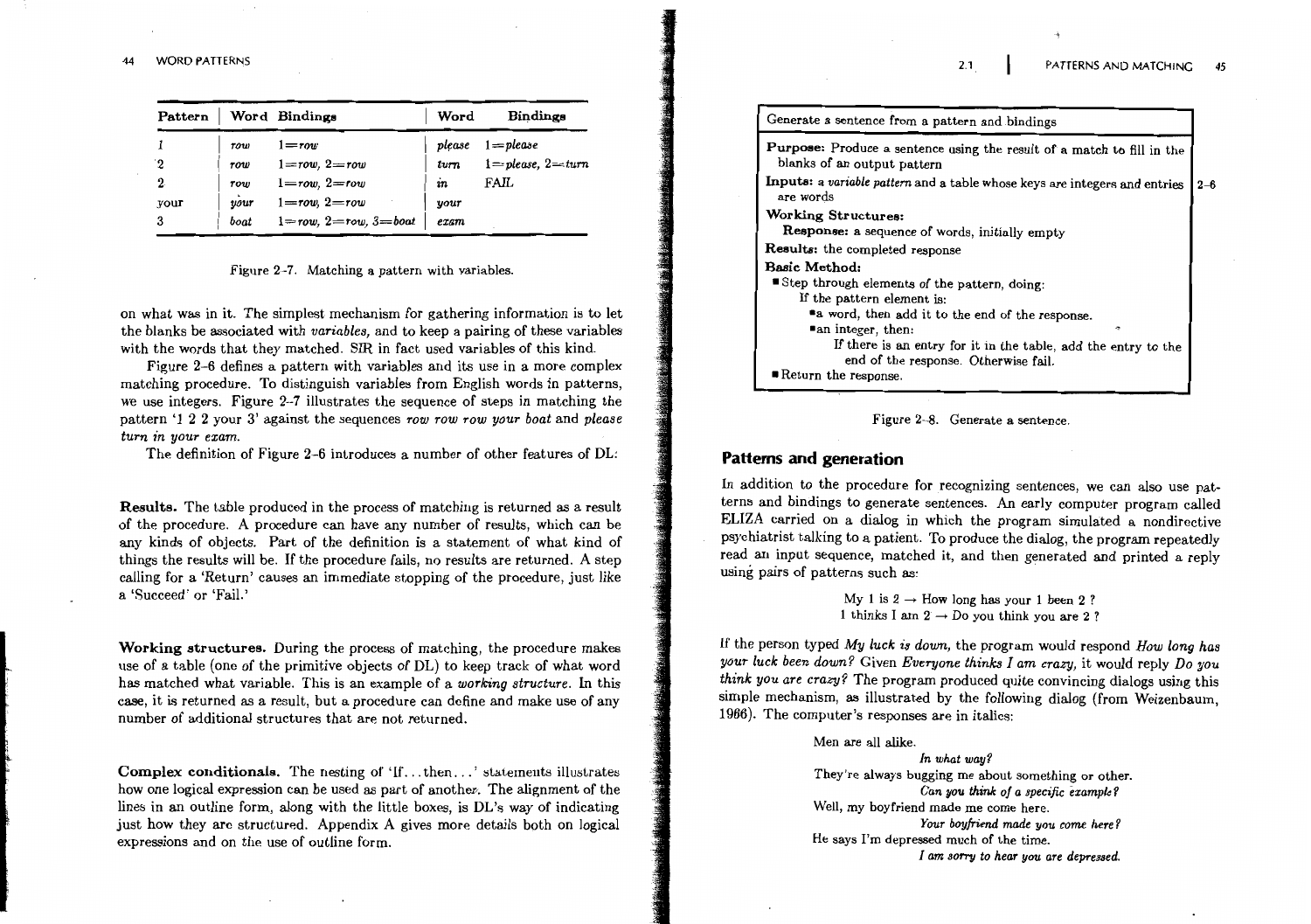| Pattern          |      | Word Bindings                | Word   | Bindings               |
|------------------|------|------------------------------|--------|------------------------|
|                  | row  | $1 = row$                    | please | $1 =$ please           |
| $\mathbf 2$      | row  | $1 = row, 2 = row$           | turn   | $1 = please, 2 = turn$ |
| $\boldsymbol{2}$ | row  | $1 = row, 2 = row$           | in     | FAIL                   |
| your             | vour | $1 = row, 2 = row$           | your   |                        |
| 3                | boat | $1 = row, 2 = row, 3 = boat$ | exam   |                        |

#### Figure 2-7. Matching a pattern with variables.

on what was in it. The simplest mechanism for gathering information is to let the blanks be associated with variables, and to keep a pairing of these variables with the words that they matched. SIR in fact used variables of this kind.

Figure 2-6 defines a pattern with variables and its use in a more complex matching procedure. To distinguish variables from English words in patterns, we use integers. Figure 2-7 illustrates the sequence of steps in matching the pattern '1 2 2 your 3' against the sequences row row row your boat and please turn in your exam.

The definition of Figure 2-6 introduces a number of other features of DL:

**Results.** The table produced in the process of matching is returned as a result of the procedure. A procedure can have any number of results, which can be any kinds of objects. Part of the definition is a statement of what kind of things the results will be. If the procedure fails, no results are returned. A step calling for a 'Return' causes an immediate stopping of the procedure, just like a 'Succeed' or 'Fail.'

Working structures. During the process of matching, the procedure makes use of a table (one of the primitive objects of DL) to keep track of what word has matched what variable. This is an example of a working structure. In this case, it is returned as a result, but a procedure can define and make use of any number of additional structures that are not returned.

Complex conditionals. The nesting of 'If...then...' statements illustrates how one logical expression can be used as part of another. The alignment of the lines in an outline form, along with the little boxes, is DL's way of indicating just how they are structured. Appendix A gives more details both on logical expressions and on the use of outline form.

| Generate a sentence from a pattern and bindings                                                       |         |
|-------------------------------------------------------------------------------------------------------|---------|
| Purpose: Produce a sentence using the result of a match to fill in the<br>blanks of an output pattern |         |
| Inputs: a variable pattern and a table whose keys are integers and entries<br>are words               | $2 - 6$ |
| Working Structures:                                                                                   |         |
| Response: a sequence of words, initially empty                                                        |         |
| Results: the completed response                                                                       |         |
| Basic Method:                                                                                         |         |
| Step through elements of the pattern, doing:                                                          |         |
| If the pattern element is:                                                                            |         |
| a word, then add it to the end of the response.                                                       |         |
| "an integer, then:                                                                                    |         |
| If there is an entry for it in the table, add the entry to the                                        |         |
| end of the response. Otherwise fail.                                                                  |         |
| Return the response.                                                                                  |         |

 $2.1$ 



### **Patterns and generation**

In addition to the procedure for recognizing sentences, we can also use patterns and bindings to generate sentences. An early computer program called ELIZA carried on a dialog in which the program simulated a nondirective psychiatrist talking to a patient. To produce the dialog, the program repeatedly read an input sequence, matched it, and then generated and printed a reply using pairs of patterns such as:

> My 1 is  $2 \rightarrow$  How long has your 1 been 2? 1 thinks I am  $2 \rightarrow$  Do you think you are 2?

If the person typed  $My$  luck is down, the program would respond  $How$  long has your luck been down? Given Everyone thinks I am crazy, it would reply Do you think you are crazy? The program produced quite convincing dialogs using this simple mechanism, as illustrated by the following dialog (from Weizenbaum, 1966). The computer's responses are in italics:

> Men are all alike. In what way? They're always bugging me about something or other. Can you think of a specific example? Well, my boyfriend made me come here. Your boyfriend made you come here? He says I'm depressed much of the time. I am sorry to hear you are depressed.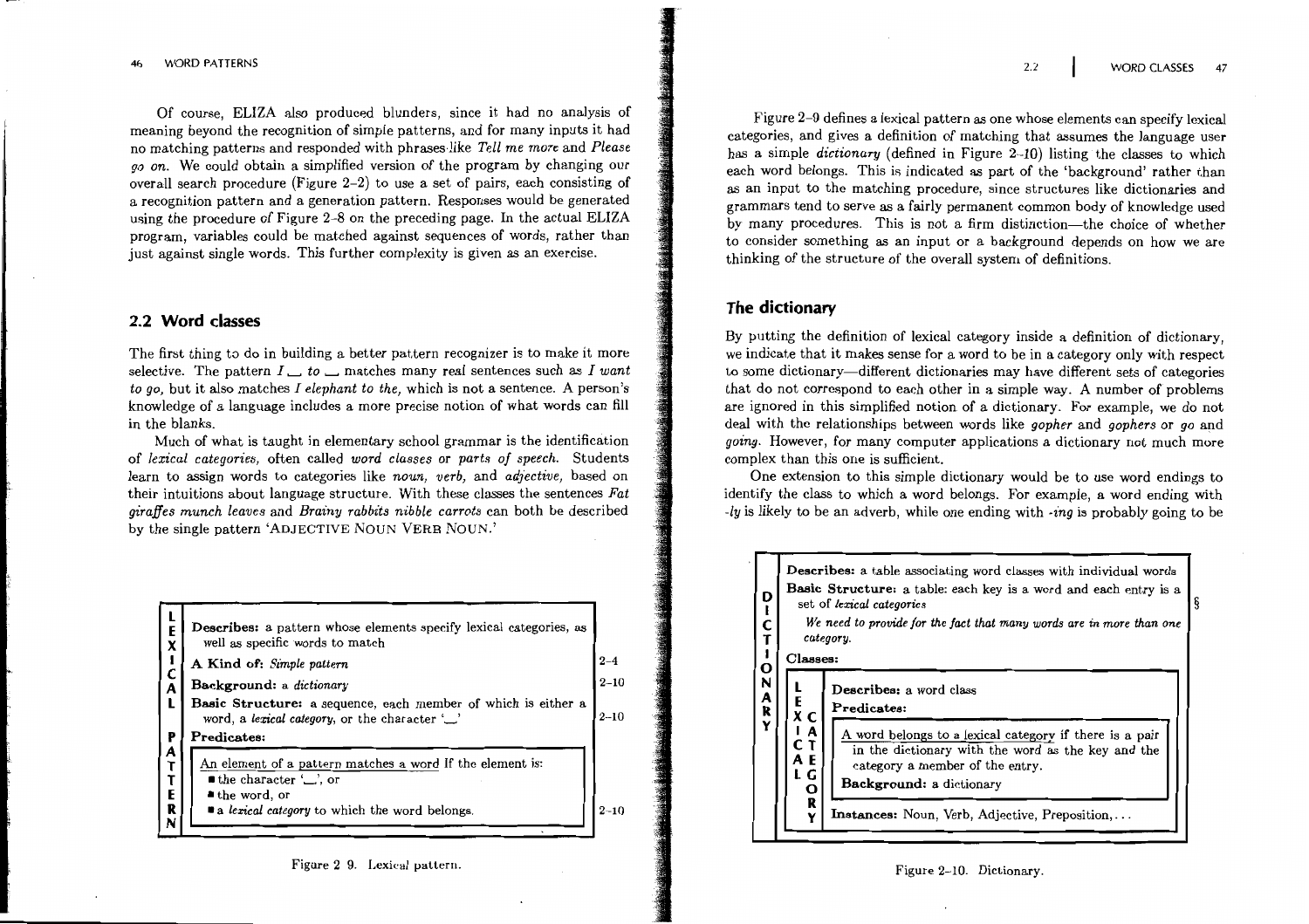Of course, ELIZA also produced blunders, since it had no analysis of meaning beyond the recognition of simple patterns, and for many inputs it had no matching patterns and responded with phrases like Tell me more and Please go on. We could obtain a simplified version of the program by changing our overall search procedure (Figure  $2-2$ ) to use a set of pairs, each consisting of a recognition pattern and a generation pattern. Responses would be generated using the procedure of Figure 2-8 on the preceding page. In the actual ELIZA program, variables could be matched against sequences of words, rather than just against single words. This further complexity is given as an exercise.

### 2.2 Word classes

The first thing to do in building a better pattern recognizer is to make it more selective. The pattern  $I \_$  to  $\_$  matches many real sentences such as I want to go, but it also matches I elephant to the, which is not a sentence. A person's knowledge of a language includes a more precise notion of what words can fill in the blanks.

Much of what is taught in elementary school grammar is the identification of lexical categories, often called word classes or parts of speech. Students learn to assign words to categories like noun, verb, and adjective, based on their intuitions about language structure. With these classes the sentences Fat giraffes munch leaves and Brainy rabbits nibble carrots can both be described by the single pattern 'ADJECTIVE NOUN VERB NOUN.'

| Ē<br>$\pmb{\chi}$ | Describes: a pattern whose elements specify lexical categories, as<br>well as specific words to match                               |          |
|-------------------|-------------------------------------------------------------------------------------------------------------------------------------|----------|
|                   | A Kind of: Simple pattern                                                                                                           | $2 - 4$  |
| $\mathbf c$<br>Ā  | Background: a dictionary                                                                                                            | $2 - 10$ |
| ₽                 | Basic Structure: a sequence, each member of which is either a<br>word, a lexical category, or the character $\omega$<br>Predicates: |          |
| A                 |                                                                                                                                     |          |
| ד<br>ד            | An element of a pattern matches a word If the element is:<br>$\blacksquare$ the character ' $\Box$ ', or                            |          |
| E<br>R            | $\blacksquare$ the word, or<br>• a lexical category to which the word belongs.                                                      | $2 - 10$ |
| N                 |                                                                                                                                     |          |

Figure 2 9. Lexical pattern.

Figure 2-9 defines a lexical pattern as one whose elements can specify lexical categories, and gives a definition of matching that assumes the language user has a simple *dictionary* (defined in Figure 2-10) listing the classes to which each word belongs. This is indicated as part of the 'background' rather than as an input to the matching procedure, since structures like dictionaries and grammars tend to serve as a fairly permanent common body of knowledge used by many procedures. This is not a firm distinction—the choice of whether to consider something as an input or a background depends on how we are thinking of the structure of the overall system of definitions.

#### The dictionary

By putting the definition of lexical category inside a definition of dictionary, we indicate that it makes sense for a word to be in a category only with respect to some dictionary—different dictionaries may have different sets of categories that do not correspond to each other in a simple way. A number of problems are ignored in this simplified notion of a dictionary. For example, we do not deal with the relationships between words like gopher and gophers or go and going. However, for many computer applications a dictionary not much more complex than this one is sufficient.

One extension to this simple dictionary would be to use word endings to identify the class to which a word belongs. For example, a word ending with -ly is likely to be an adverb, while one ending with  $\frac{1}{2}$  is probably going to be

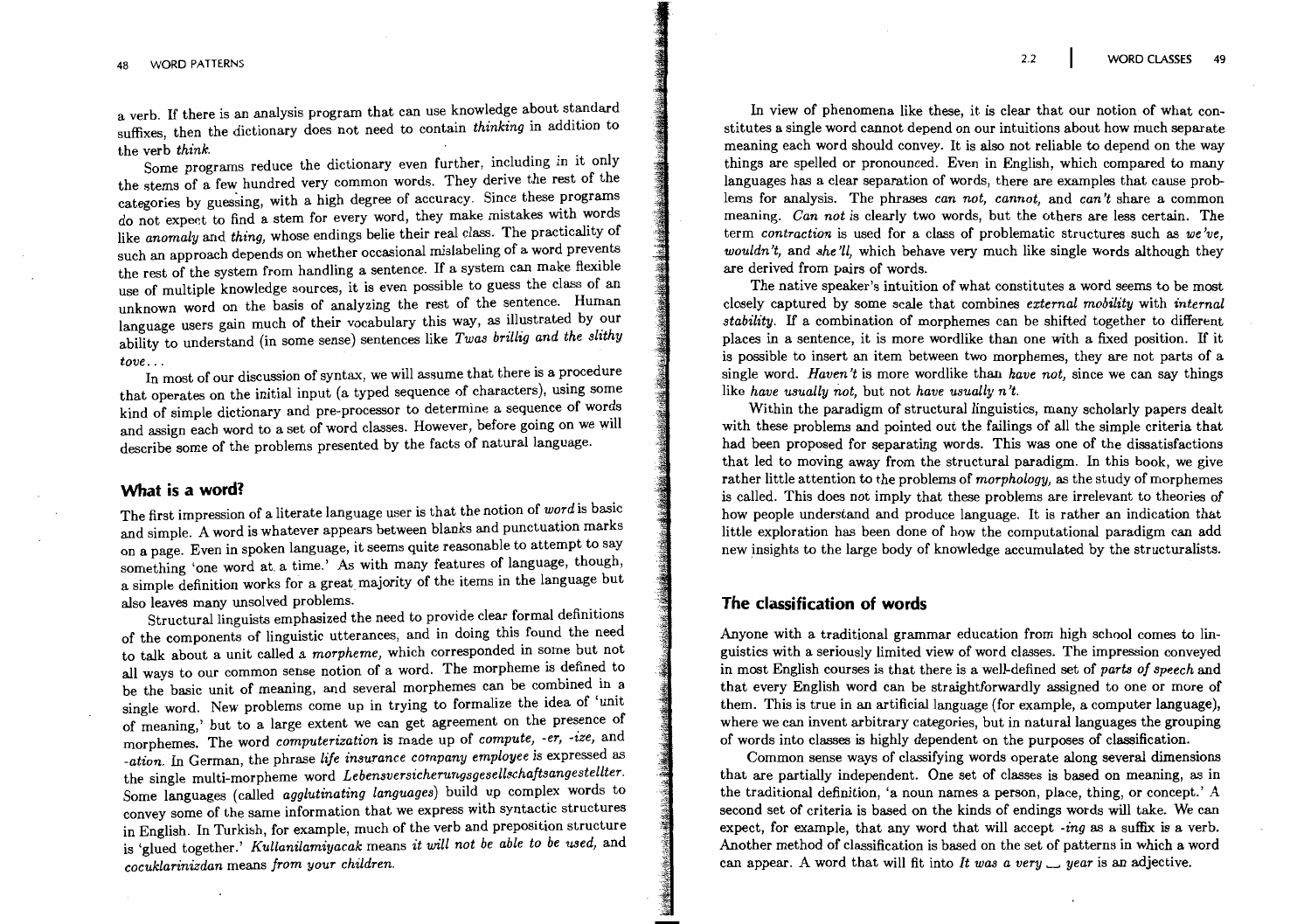a verb. If there is an analysis program that can use knowledge about standard suffixes, then the dictionary does not need to contain thinking in addition to the verb think.

Some programs reduce the dictionary even further, including in it only the stems of a few hundred very common words. They derive the rest of the categories by guessing, with a high degree of accuracy. Since these programs do not expect to find a stem for every word, they make mistakes with words like anomaly and thing, whose endings belie their real class. The practicality of such an approach depends on whether occasional mislabeling of a word prevents the rest of the system from handling a sentence. If a system can make flexible use of multiple knowledge sources, it is even possible to guess the class of an unknown word on the basis of analyzing the rest of the sentence. Human language users gain much of their vocabulary this way, as illustrated by our ability to understand (in some sense) sentences like Twas brillig and the slithy  $tove...$ 

In most of our discussion of syntax, we will assume that there is a procedure that operates on the initial input (a typed sequence of characters), using some kind of simple dictionary and pre-processor to determine a sequence of words and assign each word to a set of word classes. However, before going on we will describe some of the problems presented by the facts of natural language.

## What is a word?

The first impression of a literate language user is that the notion of word is basic and simple. A word is whatever appears between blanks and punctuation marks on a page. Even in spoken language, it seems quite reasonable to attempt to say something 'one word at a time.' As with many features of language, though, a simple definition works for a great majority of the items in the language but also leaves many unsolved problems.

Structural linguists emphasized the need to provide clear formal definitions of the components of linguistic utterances, and in doing this found the need to talk about a unit called a *morpheme*, which corresponded in some but not all ways to our common sense notion of a word. The morpheme is defined to be the basic unit of meaning, and several morphemes can be combined in a single word. New problems come up in trying to formalize the idea of 'unit of meaning,' but to a large extent we can get agreement on the presence of morphemes. The word computerization is made up of compute, -er, -ize, and -ation. In German, the phrase life insurance company employee is expressed as the single multi-morpheme word Lebensversicherungsgesellschaftsangestellter. Some languages (called *agglutinating languages*) build up complex words to convey some of the same information that we express with syntactic structures in English. In Turkish, for example, much of the verb and preposition structure is 'glued together.' Kullanilamiyacak means it will not be able to be used, and cocuklarinizdan means from your children.

In view of phenomena like these, it is clear that our notion of what constitutes a single word cannot depend on our intuitions about how much separate meaning each word should convey. It is also not reliable to depend on the way things are spelled or pronounced. Even in English, which compared to many languages has a clear separation of words, there are examples that cause problems for analysis. The phrases can not, cannot, and can't share a common meaning. Can not is clearly two words, but the others are less certain. The term contraction is used for a class of problematic structures such as we've. wouldn't, and she'll, which behave very much like single words although they are derived from pairs of words.

The native speaker's intuition of what constitutes a word seems to be most closely captured by some scale that combines *external mobility* with *internal stability*. If a combination of morphemes can be shifted together to different places in a sentence, it is more wordlike than one with a fixed position. If it is possible to insert an item between two morphemes, they are not parts of a single word. Haven't is more wordlike than have not, since we can say things like have usually not. but not have usually  $n't$ .

Within the paradigm of structural linguistics, many scholarly papers dealt with these problems and pointed out the failings of all the simple criteria that had been proposed for separating words. This was one of the dissatisfactions that led to moving away from the structural paradigm. In this book, we give rather little attention to the problems of *morphology*, as the study of morphemes is called. This does not imply that these problems are irrelevant to theories of how people understand and produce language. It is rather an indication that little exploration has been done of how the computational paradigm can add new insights to the large body of knowledge accumulated by the structuralists.

### The classification of words

Anyone with a traditional grammar education from high school comes to linguistics with a seriously limited view of word classes. The impression conveyed in most English courses is that there is a well-defined set of parts of speech and that every English word can be straightforwardly assigned to one or more of them. This is true in an artificial language (for example, a computer language), where we can invent arbitrary categories, but in natural languages the grouping of words into classes is highly dependent on the purposes of classification.

Common sense ways of classifying words operate along several dimensions that are partially independent. One set of classes is based on meaning, as in the traditional definition, 'a noun names a person, place, thing, or concept.' A second set of criteria is based on the kinds of endings words will take. We can expect, for example, that any word that will accept  $-i n q$  as a suffix is a verb. Another method of classification is based on the set of patterns in which a word can appear. A word that will fit into It was a very  $\Box$  year is an adjective.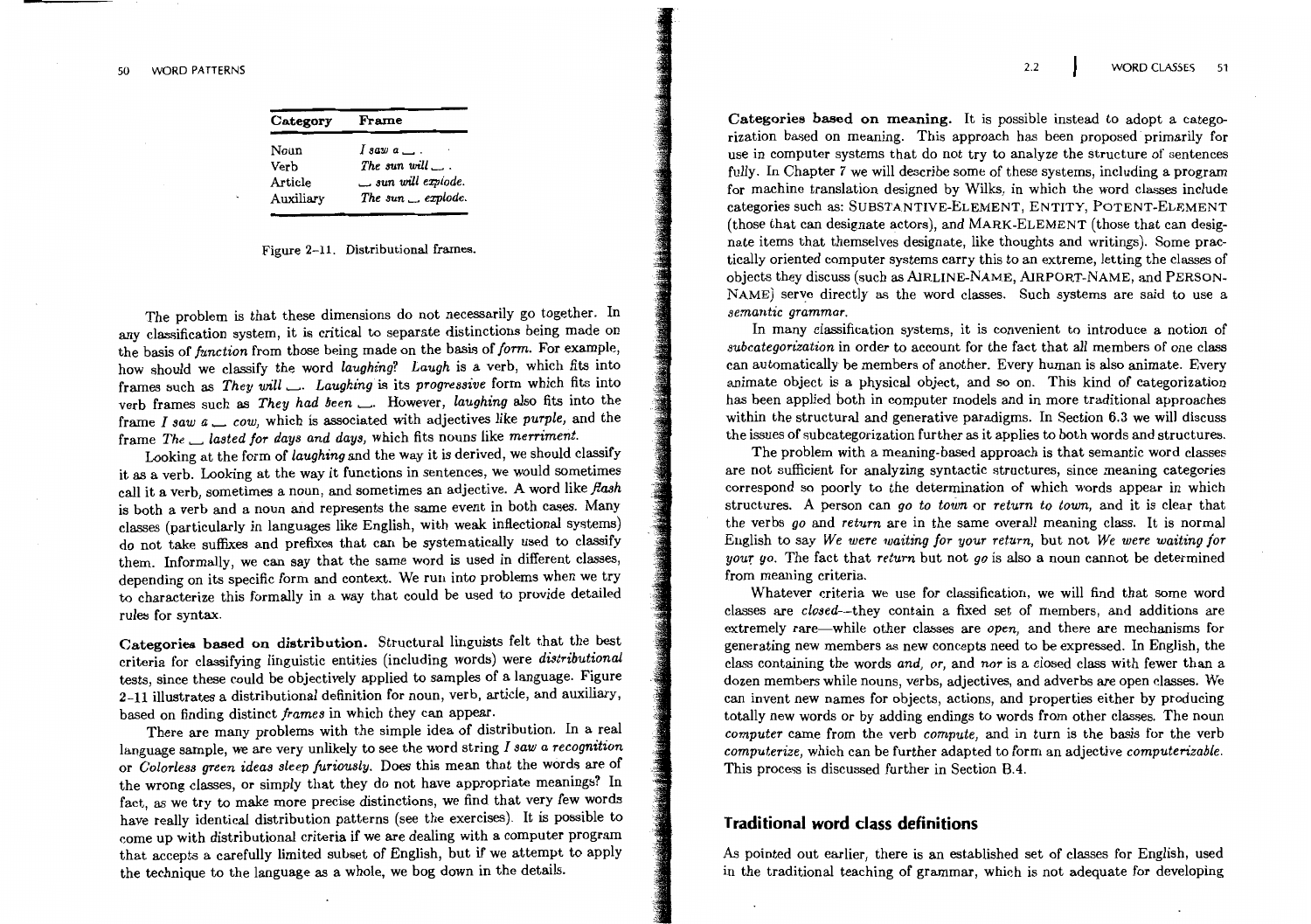| Category  | Frame                     |
|-----------|---------------------------|
| Noun      | $I$ saw $a \perp$ .       |
| Verb      | The sun will $\ldots$     |
| Article   | $\Box$ sun will explode.  |
| Auxiliary | The sun $\equiv$ explode. |
|           |                           |

#### Figure 2-11. Distributional frames.

The problem is that these dimensions do not necessarily go together. In any classification system, it is critical to separate distinctions being made on the basis of function from those being made on the basis of form. For example, how should we classify the word laughing? Laugh is a verb, which fits into frames such as They will \_. Laughing is its progressive form which fits into verb frames such as They had been ... However, laughing also fits into the frame I saw  $a \_\_\_cow$ , which is associated with adjectives like purple, and the frame The \_ lasted for days and days, which fits nouns like merriment.

Looking at the form of laughing and the way it is derived, we should classify it as a verb. Looking at the way it functions in sentences, we would sometimes call it a verb, sometimes a noun, and sometimes an adjective. A word like flash is both a verb and a noun and represents the same event in both cases. Many classes (particularly in languages like English, with weak inflectional systems) do not take suffixes and prefixes that can be systematically used to classify them. Informally, we can say that the same word is used in different classes, depending on its specific form and context. We run into problems when we try to characterize this formally in a way that could be used to provide detailed rules for syntax.

Categories based on distribution. Structural linguists felt that the best criteria for classifying linguistic entities (including words) were distributional tests, since these could be objectively applied to samples of a language. Figure 2-11 illustrates a distributional definition for noun, verb, article, and auxiliary, based on finding distinct frames in which they can appear.

There are many problems with the simple idea of distribution. In a real language sample, we are very unlikely to see the word string  $I$  saw a recognition or Colorless green ideas sleep furiously. Does this mean that the words are of the wrong classes, or simply that they do not have appropriate meanings? In fact, as we try to make more precise distinctions, we find that very few words have really identical distribution patterns (see the exercises). It is possible to come up with distributional criteria if we are dealing with a computer program that accepts a carefully limited subset of English, but if we attempt to apply the technique to the language as a whole, we bog down in the details.

Categories based on meaning. It is possible instead to adopt a categorization based on meaning. This approach has been proposed primarily for use in computer systems that do not try to analyze the structure of sentences fully. In Chapter 7 we will describe some of these systems, including a program for machine translation designed by Wilks, in which the word classes include categories such as: SUBSTANTIVE-ELEMENT, ENTITY, POTENT-ELEMENT (those that can designate actors), and MARK-ELEMENT (those that can designate items that themselves designate, like thoughts and writings). Some practically oriented computer systems carry this to an extreme, letting the classes of objects they discuss (such as AIRLINE-NAME, AIRPORT-NAME, and PERSON-NAME) serve directly as the word classes. Such systems are said to use a semantic grammar.

In many classification systems, it is convenient to introduce a notion of subcategorization in order to account for the fact that all members of one class can automatically be members of another. Every human is also animate. Every animate object is a physical object, and so on. This kind of categorization has been applied both in computer models and in more traditional approaches within the structural and generative paradigms. In Section 6.3 we will discuss the issues of subcategorization further as it applies to both words and structures.

The problem with a meaning-based approach is that semantic word classes are not sufficient for analyzing syntactic structures, since meaning categories correspond so poorly to the determination of which words appear in which structures. A person can go to town or return to town, and it is clear that the verbs go and return are in the same overall meaning class. It is normal English to say We were waiting for your return, but not We were waiting for your go. The fact that return but not go is also a noun cannot be determined from meaning criteria.

Whatever criteria we use for classification, we will find that some word classes are *closed*--they contain a fixed set of members, and additions are extremely rare—while other classes are open, and there are mechanisms for generating new members as new concepts need to be expressed. In English, the class containing the words and, or, and nor is a closed class with fewer than a dozen members while nouns, verbs, adjectives, and adverbs are open classes. We can invent new names for objects, actions, and properties either by producing totally new words or by adding endings to words from other classes. The noun computer came from the verb compute, and in turn is the basis for the verb computerize, which can be further adapted to form an adjective computerizable. This process is discussed further in Section B.4.

#### Traditional word class definitions

As pointed out earlier, there is an established set of classes for English, used in the traditional teaching of grammar, which is not adequate for developing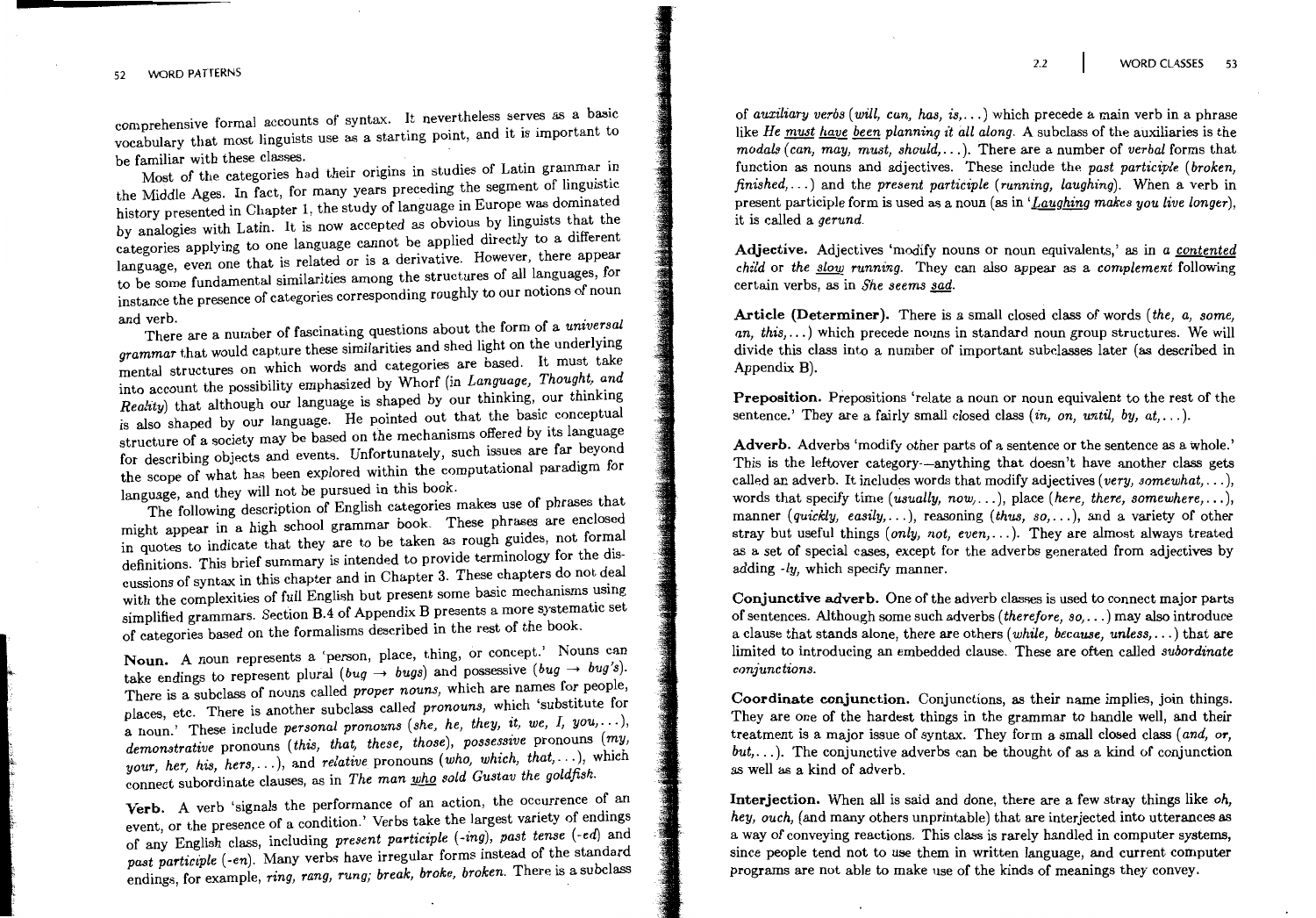comprehensive formal accounts of syntax. It nevertheless serves as a basic vocabulary that most linguists use as a starting point, and it is important to be familiar with these classes.

Most of the categories had their origins in studies of Latin grammar in the Middle Ages. In fact, for many years preceding the segment of linguistic history presented in Chapter 1, the study of language in Europe was dominated by analogies with Latin. It is now accepted as obvious by linguists that the categories applying to one language cannot be applied directly to a different language, even one that is related or is a derivative. However, there appear to be some fundamental similarities among the structures of all languages, for instance the presence of categories corresponding roughly to our notions of noun and verb.

There are a number of fascinating questions about the form of a universal grammar that would capture these similarities and shed light on the underlying mental structures on which words and categories are based. It must take into account the possibility emphasized by Whorf (in Language, Thought, and Reality) that although our language is shaped by our thinking, our thinking is also shaped by our language. He pointed out that the basic conceptual structure of a society may be based on the mechanisms offered by its language for describing objects and events. Unfortunately, such issues are far beyond the scope of what has been explored within the computational paradigm for language, and they will not be pursued in this book.

The following description of English categories makes use of phrases that might appear in a high school grammar book. These phrases are enclosed in quotes to indicate that they are to be taken as rough guides, not formal definitions. This brief summary is intended to provide terminology for the discussions of syntax in this chapter and in Chapter 3. These chapters do not deal with the complexities of full English but present some basic mechanisms using simplified grammars. Section B.4 of Appendix B presents a more systematic set of categories based on the formalisms described in the rest of the book.

Noun. A noun represents a 'person, place, thing, or concept.' Nouns can take endings to represent plural (bug  $\rightarrow$  bugs) and possessive (bug  $\rightarrow$  bug's). There is a subclass of nouns called proper nouns, which are names for people, places, etc. There is another subclass called pronouns, which 'substitute for a noun.' These include personal pronouns (she, he, they, it, we, I, you, ... ), demonstrative pronouns (this, that, these, those), possessive pronouns (my, your, her, his, hers, ... ), and relative pronouns (who, which, that, ... ), which connect subordinate clauses, as in The man who sold Gustav the goldfish.

Verb. A verb 'signals the performance of an action, the occurrence of an event, or the presence of a condition.' Verbs take the largest variety of endings of any English class, including present participle (-ing), past tense (-ed) and past participle (-en). Many verbs have irregular forms instead of the standard endings, for example, ring, rang, rung; break, broke, broken. There is a subclass

of auxiliary verbs (will, can, has, is....) which precede a main verb in a phrase like He must have been planning it all along. A subclass of the auxiliaries is the modals (can, may, must, should,...). There are a number of verbal forms that function as nouns and adjectives. These include the past participle (broken. finished,...) and the present participle (running, laughing). When a verb in present participle form is used as a noun (as in 'Laughing makes you live longer). it is called a gerund.

Adjective. Adjectives 'modify nouns or noun equivalents,' as in a contented *child* or the slow running. They can also appear as a complement following certain verbs, as in She seems sad.

Article (Determiner). There is a small closed class of words (the, a, some, an, this,...) which precede nouns in standard noun group structures. We will divide this class into a number of important subclasses later (as described in Appendix B).

**Preposition.** Prepositions 'relate a noun or noun equivalent to the rest of the sentence.' They are a fairly small closed class  $(in. \text{ on. until. by. at...}).$ 

Adverb. Adverbs 'modify other parts of a sentence or the sentence as a whole.' This is the leftover category—anything that doesn't have another class gets called an adverb. It includes words that modify adjectives (very, somewhat, ...), words that specify time (usually, now, ...), place (here, there, somewhere, ...), manner (quickly, easily,...), reasoning (thus, so,...), and a variety of other stray but useful things (only, not, even,...). They are almost always treated as a set of special cases, except for the adverbs generated from adjectives by adding -ly. which specify manner.

Conjunctive adverb. One of the adverb classes is used to connect major parts of sentences. Although some such adverbs (therefore,  $so,...$ ) may also introduce a clause that stands alone, there are others (*while, because, unless....*) that are limited to introducing an embedded clause. These are often called *subordinate* conjunctions.

Coordinate conjunction. Conjunctions, as their name implies, join things. They are one of the hardest things in the grammar to handle well, and their treatment is a major issue of syntax. They form a small closed class (and, or,  $but, \ldots$ ). The conjunctive adverbs can be thought of as a kind of conjunction as well as a kind of adverb.

Interjection. When all is said and done, there are a few stray things like oh, hey, ouch, (and many others unprintable) that are interjected into utterances as a way of conveying reactions. This class is rarely handled in computer systems, since people tend not to use them in written language, and current computer programs are not able to make use of the kinds of meanings they convey.